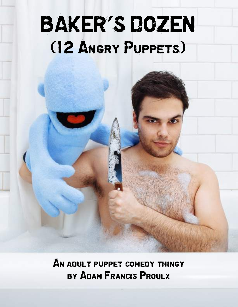# BAKER'S DOZEN (12 Angry Puppets)

BAKER'S DOZEN

 $A$   $A$   $B$ 

An adult puppet comedy thingy by Adam Francis Proulx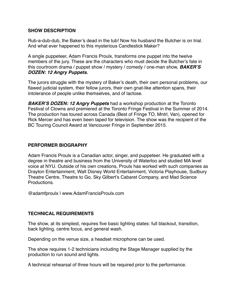#### **SHOW DESCRIPTION**

Rub-a-dub-dub, the Baker's dead in the tub! Now his husband the Butcher is on trial. And what ever happened to this mysterious Candlestick Maker?

A single puppeteer, Adam Francis Proulx, transforms one puppet into the twelve members of the jury. These are the characters who must decide the Butcher's fate in this courtroom drama / puppet show / mystery / comedy / one-man show, *BAKER'S DOZEN: 12 Angry Puppets.* 

The jurors struggle with the mystery of Baker's death, their own personal problems, our flawed judicial system, their fellow jurors, their own gnat-like attention spans, their intolerance of people unlike themselves, and of lactose.

*BAKER'S DOZEN: 12 Angry Puppets* had a workshop production at the Toronto Festival of Clowns and premiered at the Toronto Fringe Festival in the Summer of 2014. The production has toured across Canada (Best of Fringe TO, Mntrl, Van), opened for Rick Mercer and has even been taped for television. The show was the recipient of the BC Touring Council Award at Vancouver Fringe in September 2015.

## **PERFORMER BIOGRAPHY**

Adam Francis Proulx is a Canadian actor, singer, and puppeteer. He graduated with a degree in theatre and business from the University of Waterloo and studied MA level voice at NYU. Outside of his own creations, Proulx has worked with such companies as Drayton Entertainment, Walt Disney World Entertainment, Victoria Playhouse, Sudbury Theatre Centre, Theatre to Go, Sky Gilbert's Cabaret Company, and Mad Science **Productions** 

@adamfproulx | www.AdamFrancisProulx.com

## **TECHNICAL REQUIREMENTS**

The show, at its simplest, requires five basic lighting states: full blackout, transition, back lighting, centre focus, and general wash.

Depending on the venue size, a headset microphone can be used.

The show requires 1-2 technicians including the Stage Manager supplied by the production to run sound and lights.

A technical rehearsal of three hours will be required prior to the performance.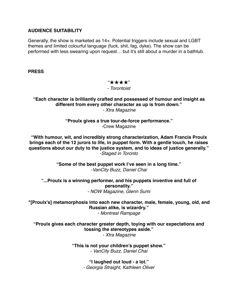#### **AUDIENCE SUITABILITY**

Generally, the show is marketed as 14+. Potential triggers include sexual and LGBT themes and limited colourful language (fuck, shit, fag, dyke). The show can be performed with less swearing upon request… but it's still about a murder in a bathtub.

**PRESS**

"★★★★" *- Torontoist*

**"Each character is brilliantly crafted and possessed of humour and insight as different from every other character as up is from down."** *- Xtra Magazine*

> **"Proulx gives a true tour-de-force performance."** -Crew Magazine

**"With humour, wit, and incredibly strong characterization, Adam Francis Proulx brings each of the 12 jurors to life, in puppet form. With a gentle touch, he raises questions about our duty to the justice system, and to ideas of justice generally."**  *-Staged in Toronto*

> **"Some of the best puppet work I've seen in a long time."**  *-VanCity Buzz, Daniel Chai*

**"...Proulx is a winning performer, and his puppets inventive and full of personality."** *- NOW Magazine, Glenn Sumi*

**"[Proulx's] metamorphosis into each new character, male, female, young, old, and Russian alike, is wizardry."** *- Montreal Rampage*

**"Proulx gives each character greater depth, toying with our expectations and tossing the stereotypes aside."** *- Xtra Magazine*

> **"This is not your children's puppet show."**  *- VanCity Buzz, Daniel Chai*

> > **"I laughed out loud - a lot."**  *- Georgia Straight, Kathleen Oliver*